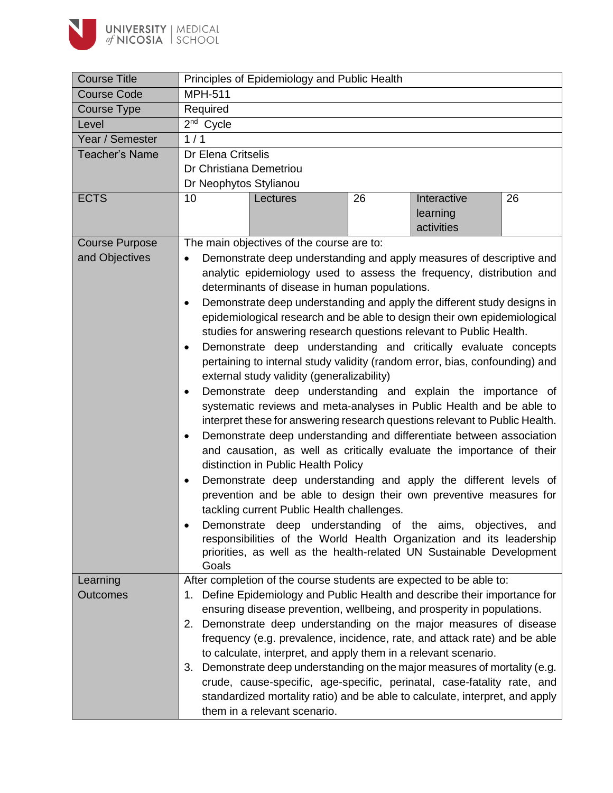

| <b>Course Title</b>   | Principles of Epidemiology and Public Health                                         |  |  |  |  |
|-----------------------|--------------------------------------------------------------------------------------|--|--|--|--|
| <b>Course Code</b>    | <b>MPH-511</b>                                                                       |  |  |  |  |
| Course Type           | Required                                                                             |  |  |  |  |
| Level                 | $2nd$ Cycle                                                                          |  |  |  |  |
| Year / Semester       | 1/1                                                                                  |  |  |  |  |
| <b>Teacher's Name</b> | Dr Elena Critselis                                                                   |  |  |  |  |
|                       | Dr Christiana Demetriou                                                              |  |  |  |  |
|                       | Dr Neophytos Stylianou                                                               |  |  |  |  |
| <b>ECTS</b>           | 26<br>Interactive<br>26<br>10<br>Lectures                                            |  |  |  |  |
|                       | learning<br>activities                                                               |  |  |  |  |
| <b>Course Purpose</b> | The main objectives of the course are to:                                            |  |  |  |  |
| and Objectives        | Demonstrate deep understanding and apply measures of descriptive and                 |  |  |  |  |
|                       | analytic epidemiology used to assess the frequency, distribution and                 |  |  |  |  |
|                       | determinants of disease in human populations.                                        |  |  |  |  |
|                       | Demonstrate deep understanding and apply the different study designs in<br>$\bullet$ |  |  |  |  |
|                       | epidemiological research and be able to design their own epidemiological             |  |  |  |  |
|                       | studies for answering research questions relevant to Public Health.                  |  |  |  |  |
|                       | Demonstrate deep understanding and critically evaluate concepts<br>$\bullet$         |  |  |  |  |
|                       | pertaining to internal study validity (random error, bias, confounding) and          |  |  |  |  |
|                       | external study validity (generalizability)                                           |  |  |  |  |
|                       | Demonstrate deep understanding and explain the importance of<br>$\bullet$            |  |  |  |  |
|                       | systematic reviews and meta-analyses in Public Health and be able to                 |  |  |  |  |
|                       | interpret these for answering research questions relevant to Public Health.          |  |  |  |  |
|                       | Demonstrate deep understanding and differentiate between association<br>$\bullet$    |  |  |  |  |
|                       | and causation, as well as critically evaluate the importance of their                |  |  |  |  |
|                       | distinction in Public Health Policy                                                  |  |  |  |  |
|                       | Demonstrate deep understanding and apply the different levels of<br>٠                |  |  |  |  |
|                       | prevention and be able to design their own preventive measures for                   |  |  |  |  |
|                       | tackling current Public Health challenges.                                           |  |  |  |  |
|                       | Demonstrate deep understanding of the aims, objectives, and                          |  |  |  |  |
|                       | responsibilities of the World Health Organization and its leadership                 |  |  |  |  |
|                       | priorities, as well as the health-related UN Sustainable Development<br>Goals        |  |  |  |  |
| Learning              | After completion of the course students are expected to be able to:                  |  |  |  |  |
| <b>Outcomes</b>       | Define Epidemiology and Public Health and describe their importance for<br>1.        |  |  |  |  |
|                       | ensuring disease prevention, wellbeing, and prosperity in populations.               |  |  |  |  |
|                       | Demonstrate deep understanding on the major measures of disease<br>2.                |  |  |  |  |
|                       | frequency (e.g. prevalence, incidence, rate, and attack rate) and be able            |  |  |  |  |
|                       | to calculate, interpret, and apply them in a relevant scenario.                      |  |  |  |  |
|                       | Demonstrate deep understanding on the major measures of mortality (e.g.<br>3.        |  |  |  |  |
|                       | crude, cause-specific, age-specific, perinatal, case-fatality rate, and              |  |  |  |  |
|                       | standardized mortality ratio) and be able to calculate, interpret, and apply         |  |  |  |  |
|                       | them in a relevant scenario.                                                         |  |  |  |  |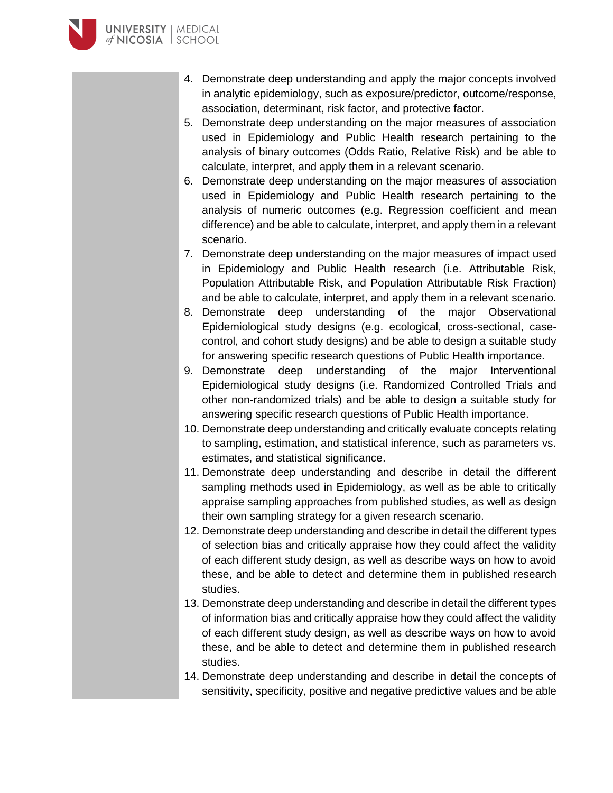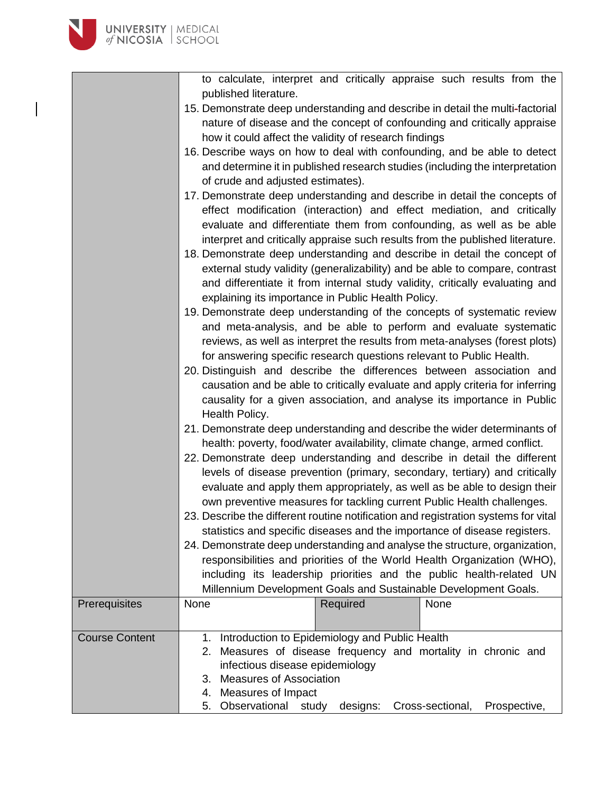to calculate, interpret and critically appraise such results from the published literature.

- 15. Demonstrate deep understanding and describe in detail the multi-factorial nature of disease and the concept of confounding and critically appraise how it could affect the validity of research findings
- 16. Describe ways on how to deal with confounding, and be able to detect and determine it in published research studies (including the interpretation of crude and adjusted estimates).
- 17. Demonstrate deep understanding and describe in detail the concepts of effect modification (interaction) and effect mediation, and critically evaluate and differentiate them from confounding, as well as be able interpret and critically appraise such results from the published literature.
- 18. Demonstrate deep understanding and describe in detail the concept of external study validity (generalizability) and be able to compare, contrast and differentiate it from internal study validity, critically evaluating and explaining its importance in Public Health Policy.
- 19. Demonstrate deep understanding of the concepts of systematic review and meta-analysis, and be able to perform and evaluate systematic reviews, as well as interpret the results from meta-analyses (forest plots) for answering specific research questions relevant to Public Health.
- 20. Distinguish and describe the differences between association and causation and be able to critically evaluate and apply criteria for inferring causality for a given association, and analyse its importance in Public Health Policy.
- 21. Demonstrate deep understanding and describe the wider determinants of health: poverty, food/water availability, climate change, armed conflict.
- 22. Demonstrate deep understanding and describe in detail the different levels of disease prevention (primary, secondary, tertiary) and critically evaluate and apply them appropriately, as well as be able to design their own preventive measures for tackling current Public Health challenges.
- 23. Describe the different routine notification and registration systems for vital statistics and specific diseases and the importance of disease registers.
- 24. Demonstrate deep understanding and analyse the structure, organization, responsibilities and priorities of the World Health Organization (WHO), including its leadership priorities and the public health-related UN Millennium Development Goals and Sustainable Development Goals.

| <b>Prerequisites</b>  | None                                     | Required                                                                                                                                                                                                                                             | None |  |  |  |
|-----------------------|------------------------------------------|------------------------------------------------------------------------------------------------------------------------------------------------------------------------------------------------------------------------------------------------------|------|--|--|--|
| <b>Course Content</b> | 2.<br>3.<br>4.<br>5. Observational study | Introduction to Epidemiology and Public Health<br>Measures of disease frequency and mortality in chronic and<br>infectious disease epidemiology<br><b>Measures of Association</b><br>Measures of Impact<br>designs: Cross-sectional,<br>Prospective, |      |  |  |  |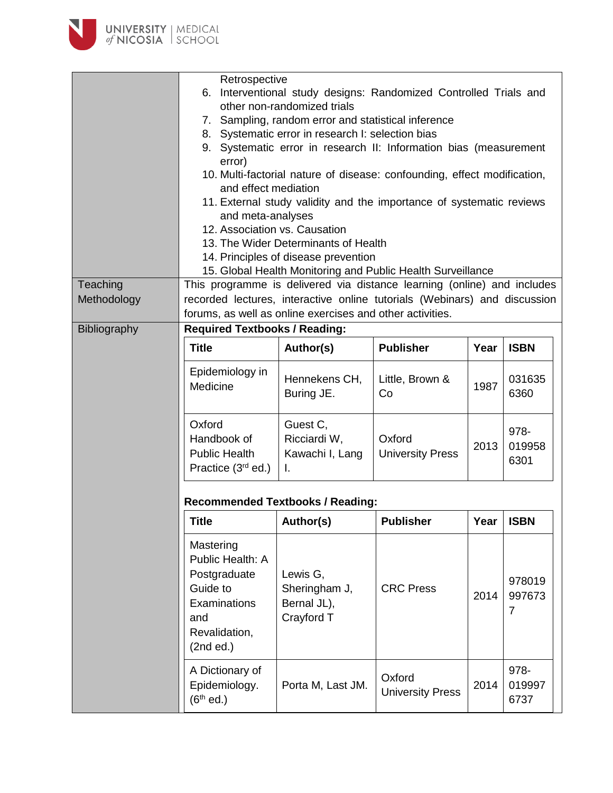

|              | Retrospective                                                                                                  |                                                                           |                                   |      |                        |  |
|--------------|----------------------------------------------------------------------------------------------------------------|---------------------------------------------------------------------------|-----------------------------------|------|------------------------|--|
|              | Interventional study designs: Randomized Controlled Trials and<br>6.                                           |                                                                           |                                   |      |                        |  |
|              | other non-randomized trials<br>7. Sampling, random error and statistical inference                             |                                                                           |                                   |      |                        |  |
|              | 8. Systematic error in research I: selection bias                                                              |                                                                           |                                   |      |                        |  |
|              |                                                                                                                | 9. Systematic error in research II: Information bias (measurement         |                                   |      |                        |  |
|              | error)                                                                                                         |                                                                           |                                   |      |                        |  |
|              | 10. Multi-factorial nature of disease: confounding, effect modification,                                       |                                                                           |                                   |      |                        |  |
|              | and effect mediation                                                                                           |                                                                           |                                   |      |                        |  |
|              |                                                                                                                | 11. External study validity and the importance of systematic reviews      |                                   |      |                        |  |
|              | and meta-analyses                                                                                              |                                                                           |                                   |      |                        |  |
|              | 12. Association vs. Causation                                                                                  |                                                                           |                                   |      |                        |  |
|              |                                                                                                                | 13. The Wider Determinants of Health                                      |                                   |      |                        |  |
|              |                                                                                                                | 14. Principles of disease prevention                                      |                                   |      |                        |  |
|              |                                                                                                                | 15. Global Health Monitoring and Public Health Surveillance               |                                   |      |                        |  |
| Teaching     |                                                                                                                | This programme is delivered via distance learning (online) and includes   |                                   |      |                        |  |
| Methodology  |                                                                                                                | recorded lectures, interactive online tutorials (Webinars) and discussion |                                   |      |                        |  |
| Bibliography | <b>Required Textbooks / Reading:</b>                                                                           | forums, as well as online exercises and other activities.                 |                                   |      |                        |  |
|              |                                                                                                                |                                                                           |                                   |      |                        |  |
|              | <b>Title</b>                                                                                                   | Author(s)                                                                 | <b>Publisher</b>                  | Year | <b>ISBN</b>            |  |
|              | Epidemiology in<br>Medicine                                                                                    | Hennekens CH,<br>Buring JE.                                               | Little, Brown &<br>Co             | 1987 | 031635<br>6360         |  |
|              | Oxford<br>Handbook of<br><b>Public Health</b><br>Practice $(3rd$ ed.)                                          | Guest C,<br>Ricciardi W,<br>Kawachi I, Lang<br>Τ.                         | Oxford<br><b>University Press</b> | 2013 | 978-<br>019958<br>6301 |  |
|              | <b>Recommended Textbooks / Reading:</b>                                                                        |                                                                           |                                   |      |                        |  |
|              | <b>Title</b>                                                                                                   | Author(s)                                                                 | <b>Publisher</b>                  | Year | <b>ISBN</b>            |  |
|              | Mastering<br>Public Health: A<br>Postgraduate<br>Guide to<br>Examinations<br>and<br>Revalidation,<br>(2nd ed.) | Lewis G,<br>Sheringham J,<br>Bernal JL),<br>Crayford T                    | <b>CRC Press</b>                  | 2014 | 978019<br>997673<br>7  |  |
|              | A Dictionary of<br>Epidemiology.<br>$(6th$ ed.)                                                                | Porta M, Last JM.                                                         | Oxford<br><b>University Press</b> | 2014 | 978-<br>019997<br>6737 |  |